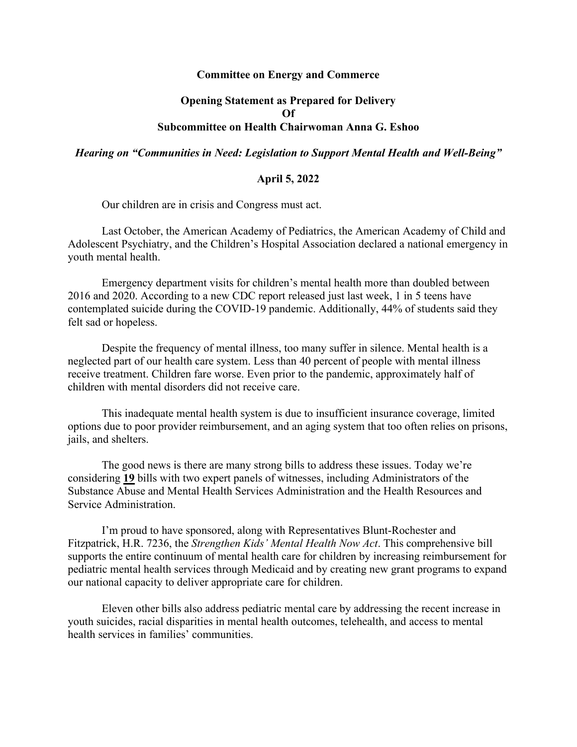## **Committee on Energy and Commerce**

## **Opening Statement as Prepared for Delivery Of Subcommittee on Health Chairwoman Anna G. Eshoo**

*Hearing on "Communities in Need: Legislation to Support Mental Health and Well-Being"*

## **April 5, 2022**

Our children are in crisis and Congress must act.

Last October, the American Academy of Pediatrics, the American Academy of Child and Adolescent Psychiatry, and the Children's Hospital Association declared a national emergency in youth mental health.

Emergency department visits for children's mental health more than doubled between 2016 and 2020. According to a new CDC report released just last week, 1 in 5 teens have contemplated suicide during the COVID-19 pandemic. Additionally, 44% of students said they felt sad or hopeless.

Despite the frequency of mental illness, too many suffer in silence. Mental health is a neglected part of our health care system. Less than 40 percent of people with mental illness receive treatment. Children fare worse. Even prior to the pandemic, approximately half of children with mental disorders did not receive care.

This inadequate mental health system is due to insufficient insurance coverage, limited options due to poor provider reimbursement, and an aging system that too often relies on prisons, jails, and shelters.

The good news is there are many strong bills to address these issues. Today we're considering **19** bills with two expert panels of witnesses, including Administrators of the Substance Abuse and Mental Health Services Administration and the Health Resources and Service Administration.

I'm proud to have sponsored, along with Representatives Blunt-Rochester and Fitzpatrick, H.R. 7236, the *Strengthen Kids' Mental Health Now Act*. This comprehensive bill supports the entire continuum of mental health care for children by increasing reimbursement for pediatric mental health services through Medicaid and by creating new grant programs to expand our national capacity to deliver appropriate care for children.

Eleven other bills also address pediatric mental care by addressing the recent increase in youth suicides, racial disparities in mental health outcomes, telehealth, and access to mental health services in families' communities.